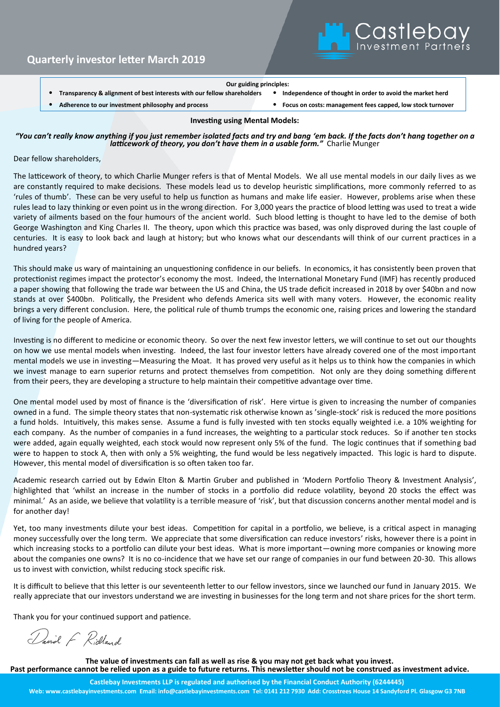

#### **Our guiding principles:**

• **Transparency & alignment of best interests with our fellow shareholders** • **Independence of thought in order to avoid the market herd**

• **Adherence to our investment philosophy and process** • **Focus on costs: management fees capped, low stock turnover**

### **Investing using Mental Models:**

### *"You can't really know anything if you just remember isolated facts and try and bang 'em back. If the facts don't hang together on a latticework of theory, you don't have them in a usable form."* Charlie Munger

Dear fellow shareholders,

The latticework of theory, to which Charlie Munger refers is that of Mental Models. We all use mental models in our daily lives as we are constantly required to make decisions. These models lead us to develop heuristic simplifications, more commonly referred to as 'rules of thumb'. These can be very useful to help us function as humans and make life easier. However, problems arise when these rules lead to lazy thinking or even point us in the wrong direction. For 3,000 years the practice of blood letting was used to treat a wide variety of ailments based on the four humours of the ancient world. Such blood letting is thought to have led to the demise of both George Washington and King Charles II. The theory, upon which this practice was based, was only disproved during the last couple of centuries. It is easy to look back and laugh at history; but who knows what our descendants will think of our current practices in a hundred years?

This should make us wary of maintaining an unquestioning confidence in our beliefs. In economics, it has consistently been proven that protectionist regimes impact the protector's economy the most. Indeed, the International Monetary Fund (IMF) has recently produced a paper showing that following the trade war between the US and China, the US trade deficit increased in 2018 by over \$40bn and now stands at over \$400bn. Politically, the President who defends America sits well with many voters. However, the economic reality brings a very different conclusion. Here, the political rule of thumb trumps the economic one, raising prices and lowering the standard of living for the people of America.

Investing is no different to medicine or economic theory. So over the next few investor letters, we will continue to set out our thoughts on how we use mental models when investing. Indeed, the last four investor letters have already covered one of the most important mental models we use in investing—Measuring the Moat. It has proved very useful as it helps us to think how the companies in which we invest manage to earn superior returns and protect themselves from competition. Not only are they doing something different from their peers, they are developing a structure to help maintain their competitive advantage over time.

One mental model used by most of finance is the 'diversification of risk'. Here virtue is given to increasing the number of companies owned in a fund. The simple theory states that non-systematic risk otherwise known as 'single-stock' risk is reduced the more positions a fund holds. Intuitively, this makes sense. Assume a fund is fully invested with ten stocks equally weighted i.e. a 10% weighting for each company. As the number of companies in a fund increases, the weighting to a particular stock reduces. So if another ten stocks were added, again equally weighted, each stock would now represent only 5% of the fund. The logic continues that if something bad were to happen to stock A, then with only a 5% weighting, the fund would be less negatively impacted. This logic is hard to dispute. However, this mental model of diversification is so often taken too far.

Academic research carried out by Edwin Elton & Martin Gruber and published in 'Modern Portfolio Theory & Investment Analysis', highlighted that 'whilst an increase in the number of stocks in a portfolio did reduce volatility, beyond 20 stocks the effect was minimal.' As an aside, we believe that volatility is a terrible measure of 'risk', but that discussion concerns another mental model and is for another day!

Yet, too many investments dilute your best ideas. Competition for capital in a portfolio, we believe, is a critical aspect in managing money successfully over the long term. We appreciate that some diversification can reduce investors' risks, however there is a point in which increasing stocks to a portfolio can dilute your best ideas. What is more important—owning more companies or knowing more about the companies one owns? It is no co-incidence that we have set our range of companies in our fund between 20-30. This allows us to invest with conviction, whilst reducing stock specific risk.

It is difficult to believe that this letter is our seventeenth letter to our fellow investors, since we launched our fund in January 2015. We really appreciate that our investors understand we are investing in businesses for the long term and not share prices for the short term.

Thank you for your continued support and patience.

David F Ridland

**The value of investments can fall as well as rise & you may not get back what you invest. Past performance cannot be relied upon as a guide to future returns. This newsletter should not be construed as investment advice.**